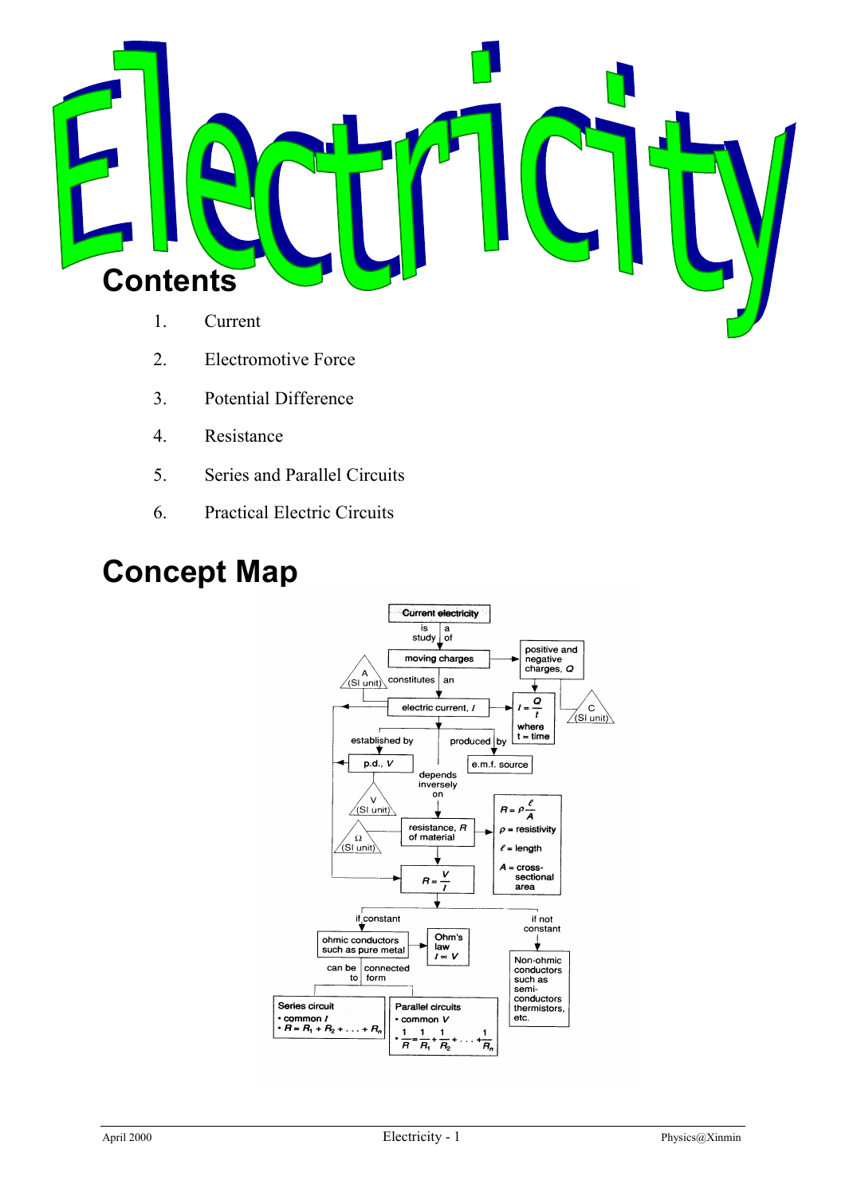

- 1. Current
- 2. Electromotive Force
- 3. Potential Difference
- 4. Resistance
- 5. Series and Parallel Circuits
- 6. Practical Electric Circuits

## **Concept Map**

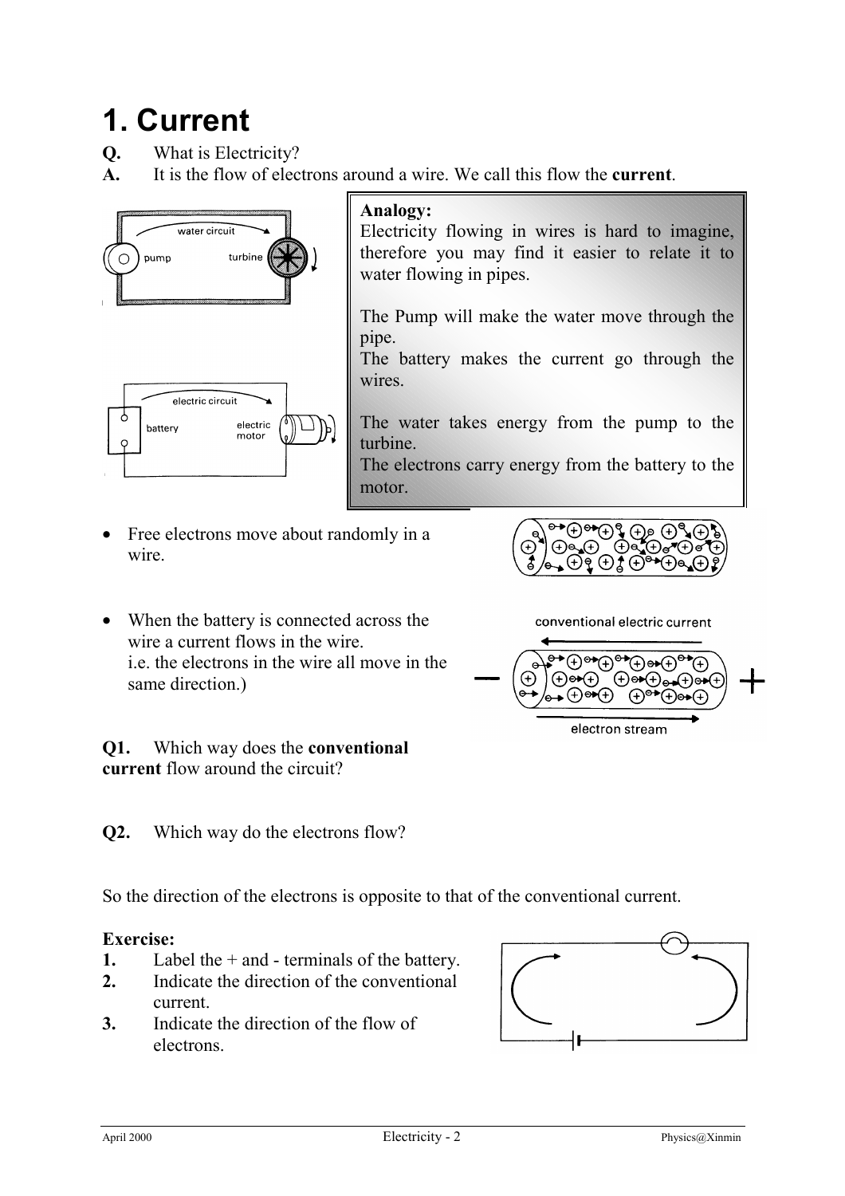# **1. Current**

**Q.** What is Electricity?

**A.** It is the flow of electrons around a wire. We call this flow the **current**.



### **Analogy:**

Electricity flowing in wires is hard to imagine, therefore you may find it easier to relate it to water flowing in pipes.

The Pump will make the water move through the pipe.

The battery makes the current go through the wires.

The water takes energy from the pump to the turbine.

The electrons carry energy from the battery to the motor.

• Free electrons move about randomly in a wire.



conventional electric current

 $\star^{\circ}(\theta)$  or  $(\theta)$  or  $(\theta)$  or  $(\theta)$ 

electron stream

 $\widetilde{\Theta}(\theta) = \widetilde{\Theta}(\theta)$ 

⊕⊕∩<del>∿</del>

 $\bigoplus$  or  $\bigoplus$ 

 $\overline{\Theta}$   $\overline{A}$   $\Theta$   $\overline{B}$ 

 $\Theta$ 

• When the battery is connected across the wire a current flows in the wire. i.e. the electrons in the wire all move in the same direction.)

**Q1.** Which way does the **conventional current** flow around the circuit?

**Q2.** Which way do the electrons flow?

So the direction of the electrons is opposite to that of the conventional current.

#### **Exercise:**

- **1.** Label the + and terminals of the battery.
- **2.** Indicate the direction of the conventional current.
- **3.** Indicate the direction of the flow of electrons.

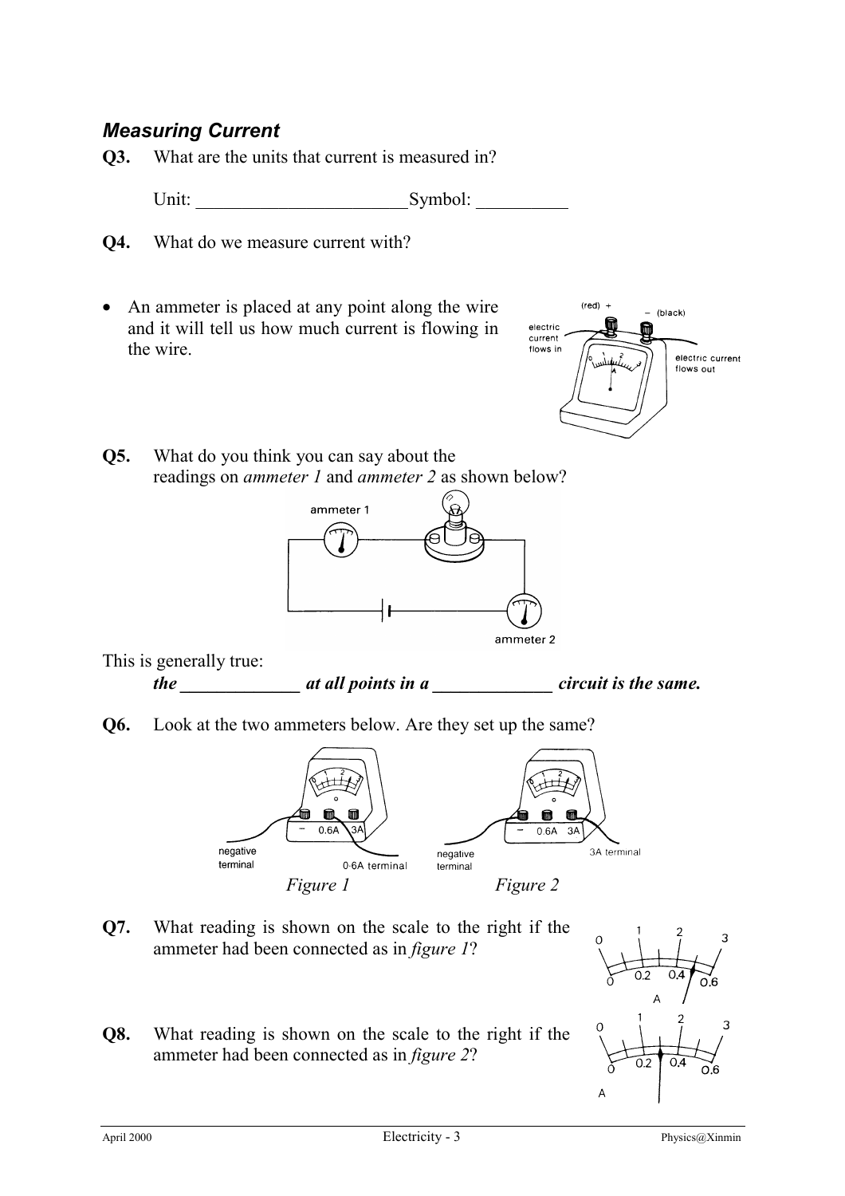## *Measuring Current*

**Q3.** What are the units that current is measured in?

Unit: Symbol:

- **Q4.** What do we measure current with?
- An ammeter is placed at any point along the wire and it will tell us how much current is flowing in the wire.



**Q5.** What do you think you can say about the readings on *ammeter 1* and *ammeter 2* as shown below?



This is generally true:

*the \_\_\_\_\_\_\_\_\_\_\_\_\_ at all points in a \_\_\_\_\_\_\_\_\_\_\_\_\_ circuit is the same.*

**Q6.** Look at the two ammeters below. Are they set up the same?



- **Q7.** What reading is shown on the scale to the right if the ammeter had been connected as in *figure 1*?
- **Q8.** What reading is shown on the scale to the right if the ammeter had been connected as in *figure 2*?

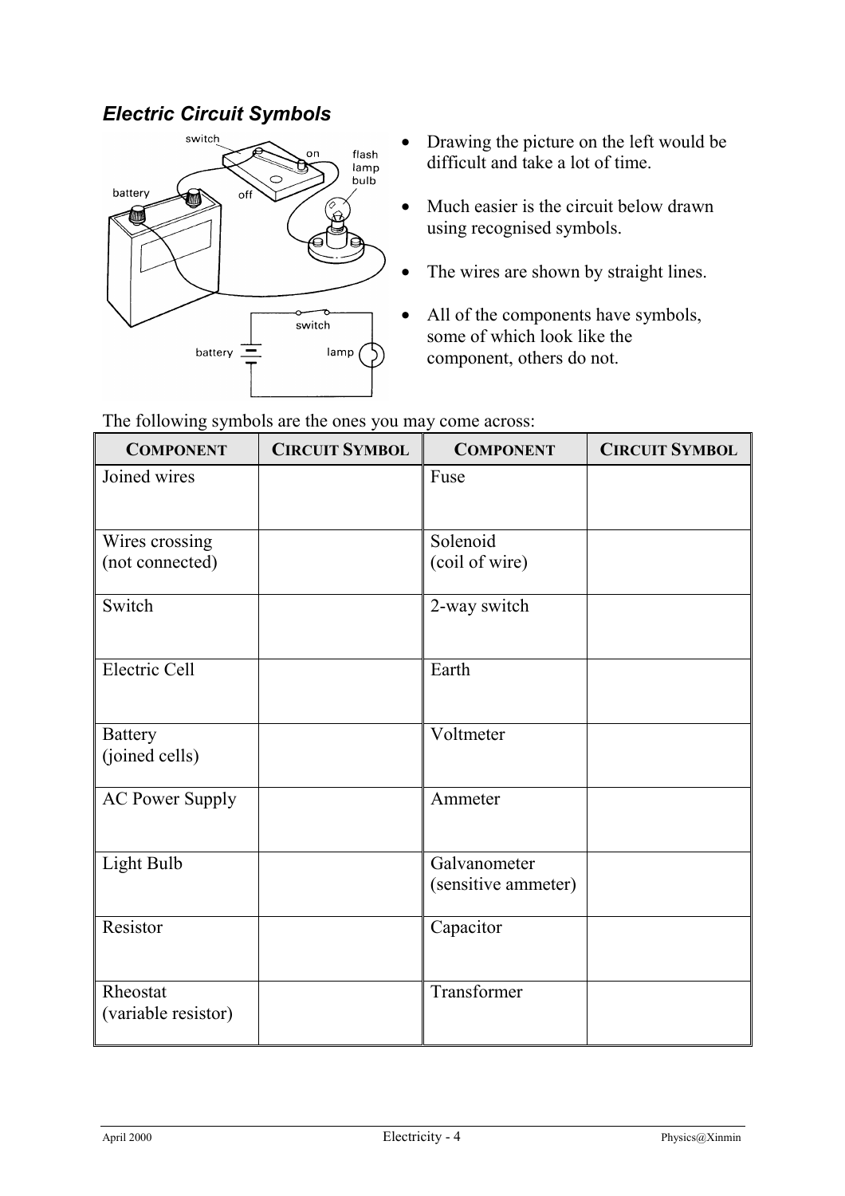## *Electric Circuit Symbols*



- Drawing the picture on the left would be difficult and take a lot of time.
- Much easier is the circuit below drawn using recognised symbols.
- The wires are shown by straight lines.
- All of the components have symbols, some of which look like the component, others do not.

| <b>COMPONENT</b>                 | <b>CIRCUIT SYMBOL</b> | <b>COMPONENT</b>    | <b>CIRCUIT SYMBOL</b> |
|----------------------------------|-----------------------|---------------------|-----------------------|
| Joined wires                     |                       | Fuse                |                       |
|                                  |                       |                     |                       |
| Wires crossing                   |                       | Solenoid            |                       |
| (not connected)                  |                       | (coil of wire)      |                       |
| Switch                           |                       | 2-way switch        |                       |
| Electric Cell                    |                       | Earth               |                       |
| <b>Battery</b><br>(joined cells) |                       | Voltmeter           |                       |
| <b>AC Power Supply</b>           |                       | Ammeter             |                       |
| Light Bulb                       |                       | Galvanometer        |                       |
|                                  |                       | (sensitive ammeter) |                       |
| Resistor                         |                       | Capacitor           |                       |
| Rheostat<br>(variable resistor)  |                       | Transformer         |                       |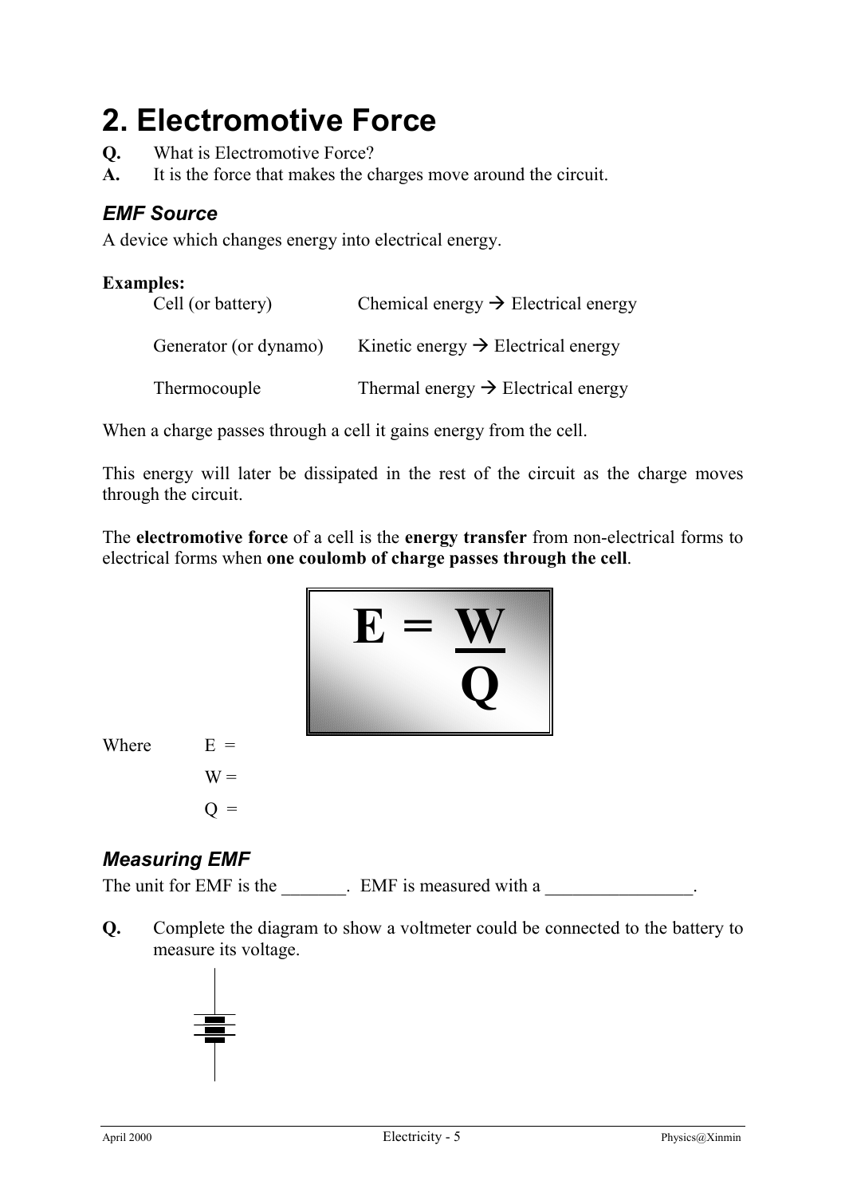# **2. Electromotive Force**

- **Q.** What is Electromotive Force?
- **A.** It is the force that makes the charges move around the circuit.

## *EMF Source*

A device which changes energy into electrical energy.

## **Examples:** Cell (or battery) Chemical energy  $\rightarrow$  Electrical energy Generator (or dynamo) Kinetic energy  $\rightarrow$  Electrical energy Thermocouple Thermal energy  $\rightarrow$  Electrical energy

When a charge passes through a cell it gains energy from the cell.

This energy will later be dissipated in the rest of the circuit as the charge moves through the circuit.

The **electromotive force** of a cell is the **energy transfer** from non-electrical forms to electrical forms when **one coulomb of charge passes through the cell**.



Where  $E =$ 

 $W =$  $Q =$ 

### *Measuring EMF*

The unit for EMF is the EMF is measured with a  $\blacksquare$ 

**Q.** Complete the diagram to show a voltmeter could be connected to the battery to measure its voltage.

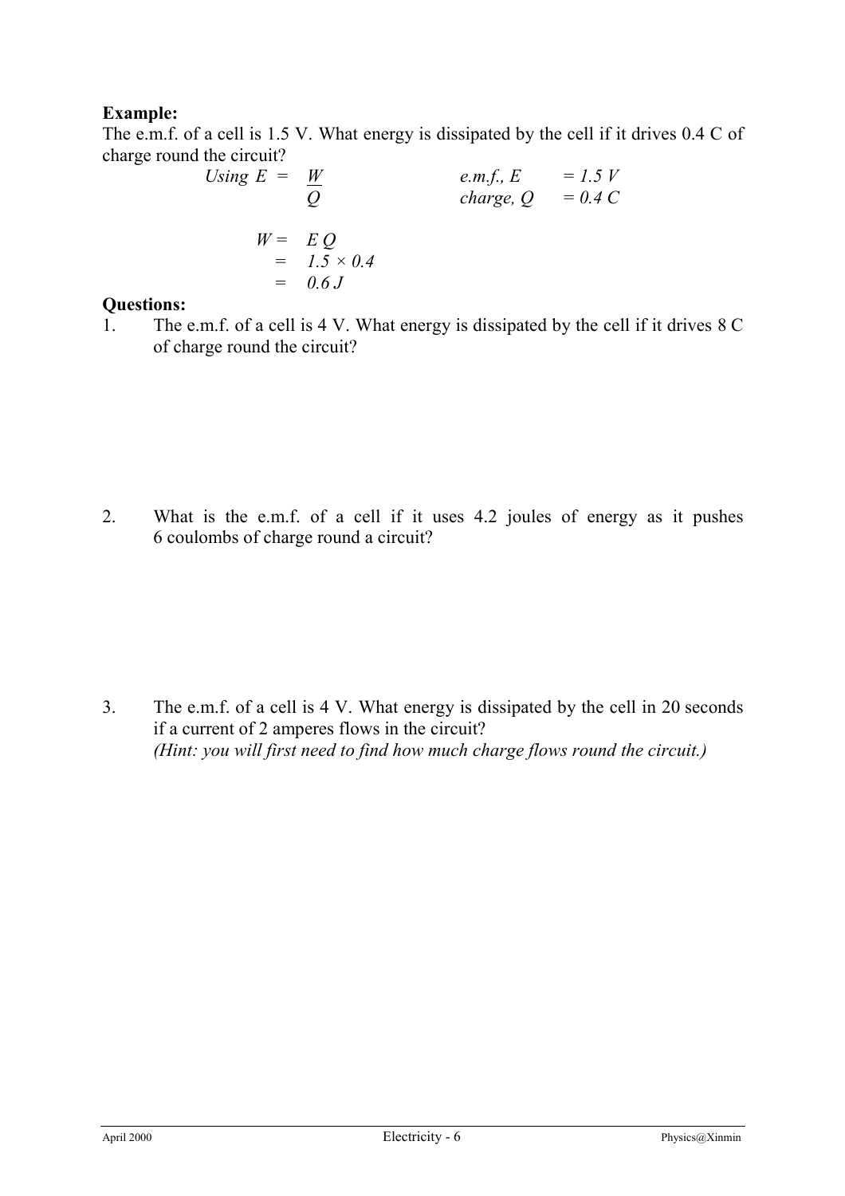#### **Example:**

The e.m.f. of a cell is 1.5 V. What energy is dissipated by the cell if it drives 0.4 C of charge round the circuit?

Using 
$$
E = \frac{W}{Q}
$$
  
\n
$$
W = \underset{0.6 \text{ J}}{E Q} = 0.4 \text{ C}
$$
\n
$$
E = 1.5 \text{ V} \text{ charge, } Q = 0.4 \text{ C}
$$
\n
$$
W = \underset{0.6 \text{ J}}{E Q} = 0.6 \text{ J}
$$

#### **Questions:**

1. The e.m.f. of a cell is 4 V. What energy is dissipated by the cell if it drives 8 C of charge round the circuit?

2. What is the e.m.f. of a cell if it uses 4.2 joules of energy as it pushes 6 coulombs of charge round a circuit?

3. The e.m.f. of a cell is 4 V. What energy is dissipated by the cell in 20 seconds if a current of 2 amperes flows in the circuit? *(Hint: you will first need to find how much charge flows round the circuit.)*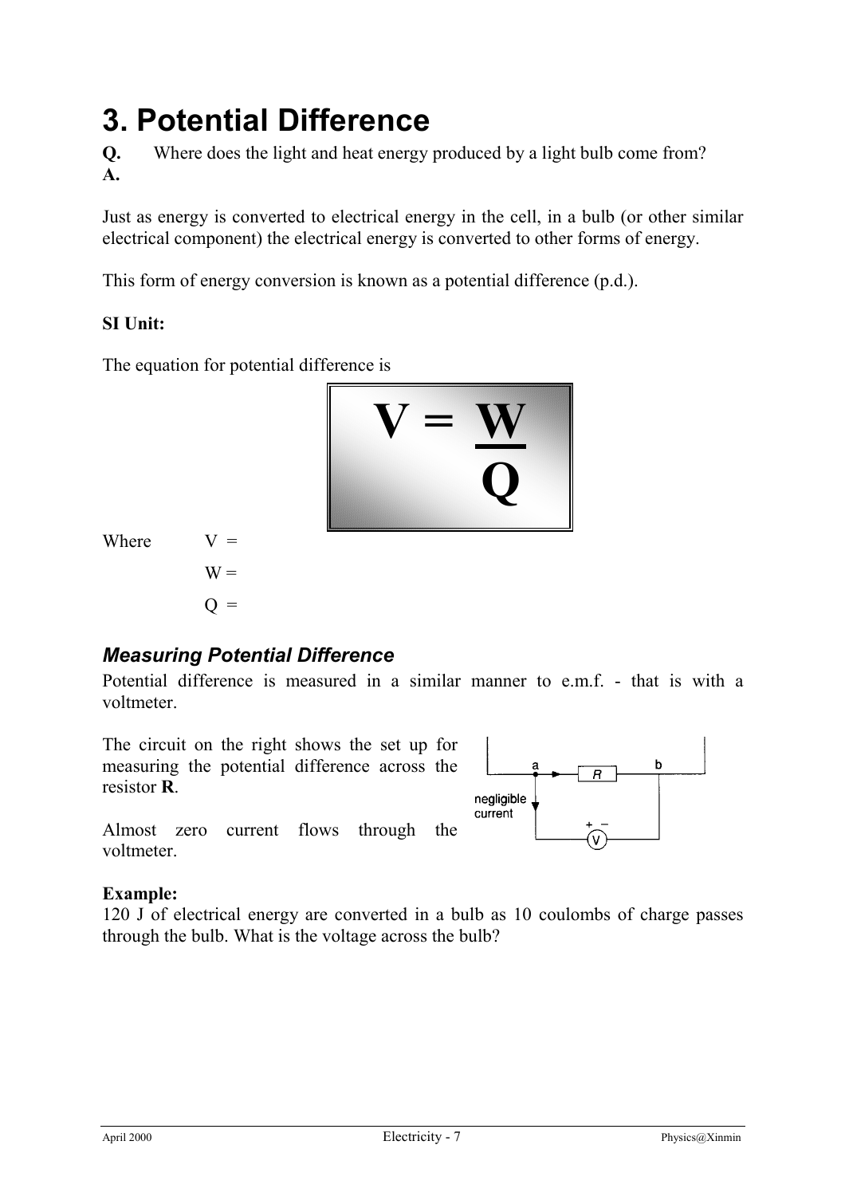# **3. Potential Difference**

**Q.** Where does the light and heat energy produced by a light bulb come from? **A.**

Just as energy is converted to electrical energy in the cell, in a bulb (or other similar electrical component) the electrical energy is converted to other forms of energy.

This form of energy conversion is known as a potential difference (p.d.).

#### **SI Unit:**

The equation for potential difference is



Where  $V =$ 

 $W =$  $O =$ 

## *Measuring Potential Difference*

Potential difference is measured in a similar manner to e.m.f. - that is with a voltmeter.

The circuit on the right shows the set up for measuring the potential difference across the resistor **R**.

Almost zero current flows through the voltmeter.



#### **Example:**

120 J of electrical energy are converted in a bulb as 10 coulombs of charge passes through the bulb. What is the voltage across the bulb?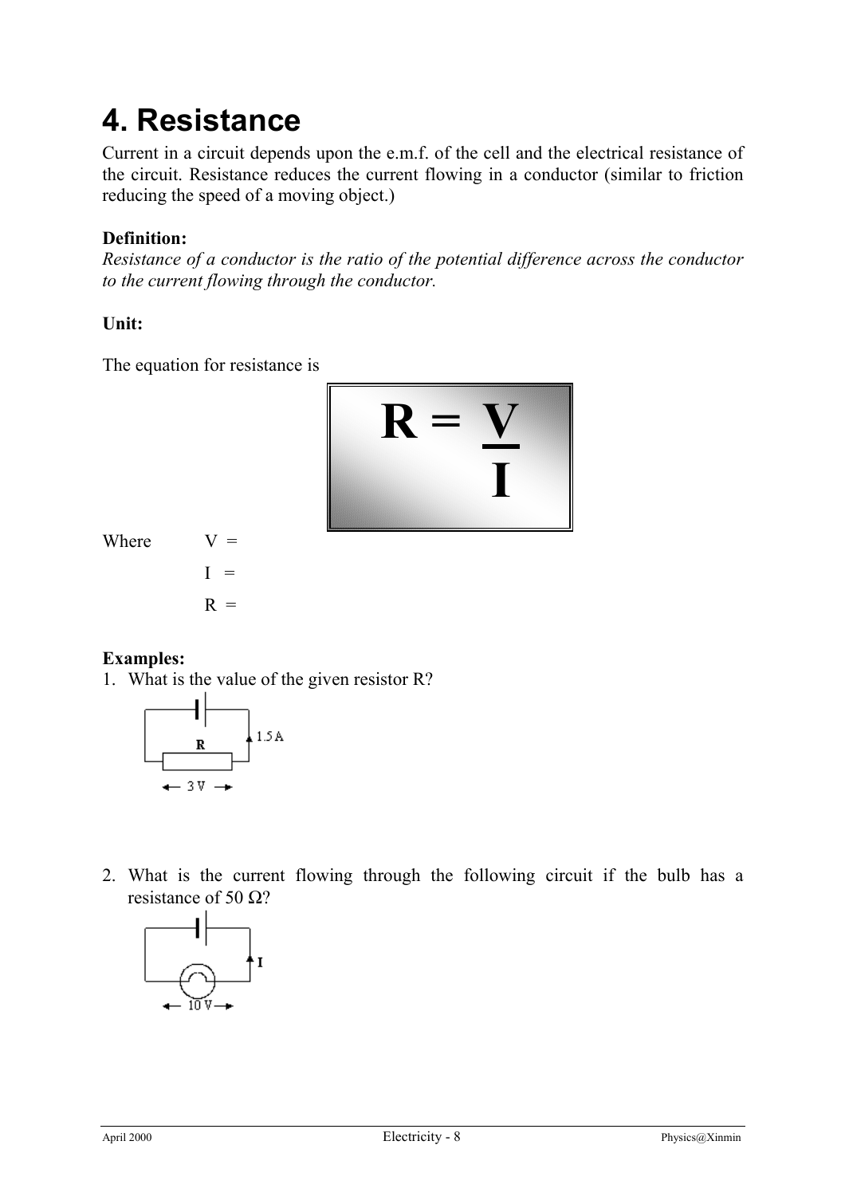# **4. Resistance**

Current in a circuit depends upon the e.m.f. of the cell and the electrical resistance of the circuit. Resistance reduces the current flowing in a conductor (similar to friction reducing the speed of a moving object.)

### **Definition:**

*Resistance of a conductor is the ratio of the potential difference across the conductor to the current flowing through the conductor.*

#### **Unit:**

The equation for resistance is



Where  $V =$ 



#### **Examples:**

1. What is the value of the given resistor R?



2. What is the current flowing through the following circuit if the bulb has a resistance of 50  $Ω$ ?

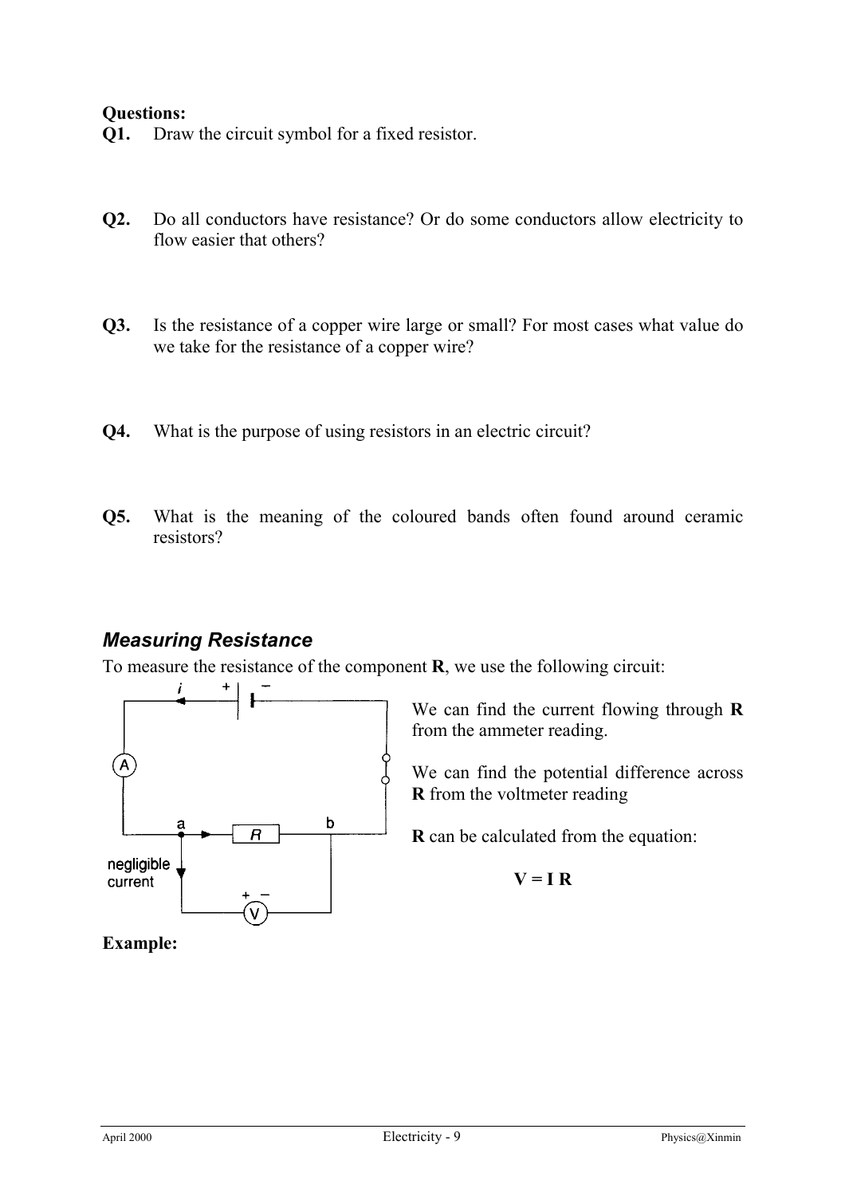#### **Questions:**

- **Q1.** Draw the circuit symbol for a fixed resistor.
- **Q2.** Do all conductors have resistance? Or do some conductors allow electricity to flow easier that others?
- **Q3.** Is the resistance of a copper wire large or small? For most cases what value do we take for the resistance of a copper wire?
- **Q4.** What is the purpose of using resistors in an electric circuit?
- **Q5.** What is the meaning of the coloured bands often found around ceramic resistors?

#### *Measuring Resistance*

To measure the resistance of the component **R**, we use the following circuit:



We can find the current flowing through **R** from the ammeter reading.

We can find the potential difference across **R** from the voltmeter reading

**R** can be calculated from the equation:

$$
V = I R
$$

#### **Example:**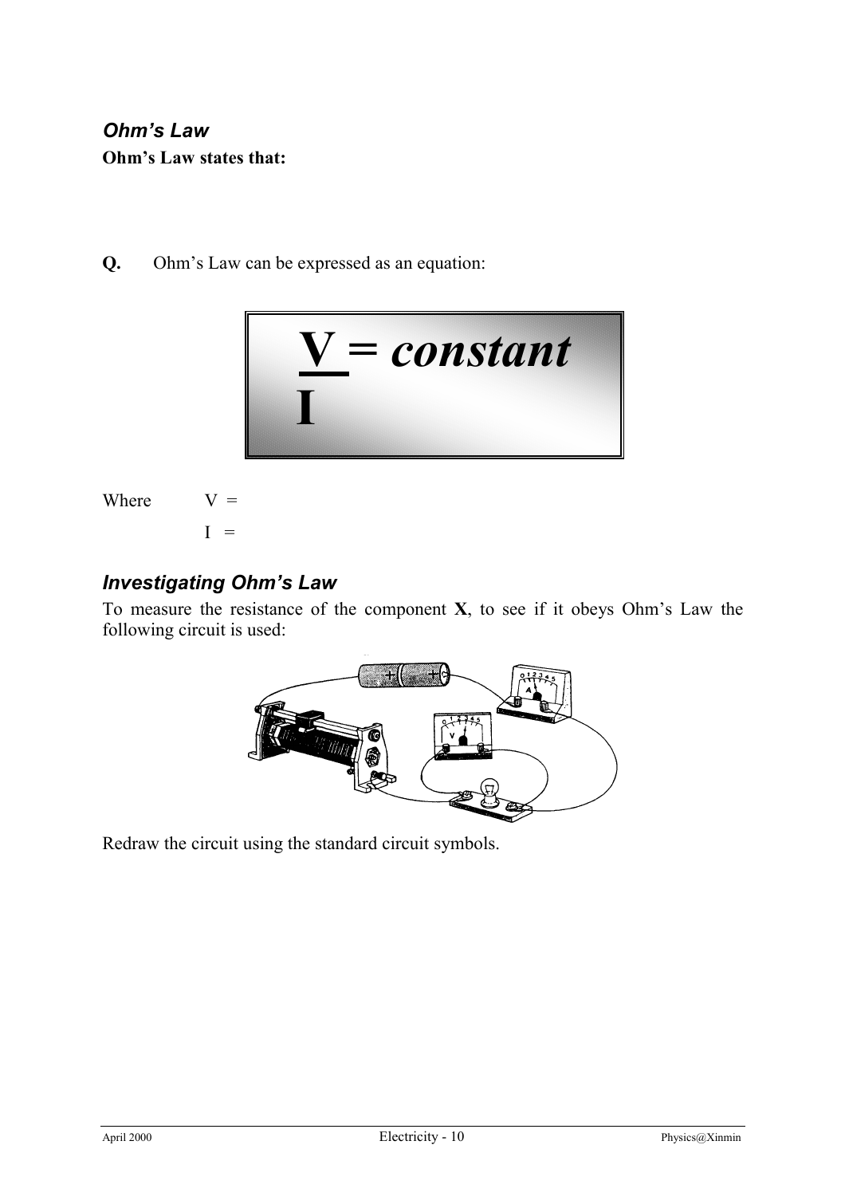## *Ohm's Law* **Ohm's Law states that:**

**Q.** Ohm's Law can be expressed as an equation:



Where 
$$
V =
$$

 $I =$ 

### *Investigating Ohm's Law*

To measure the resistance of the component **X**, to see if it obeys Ohm's Law the following circuit is used:



Redraw the circuit using the standard circuit symbols.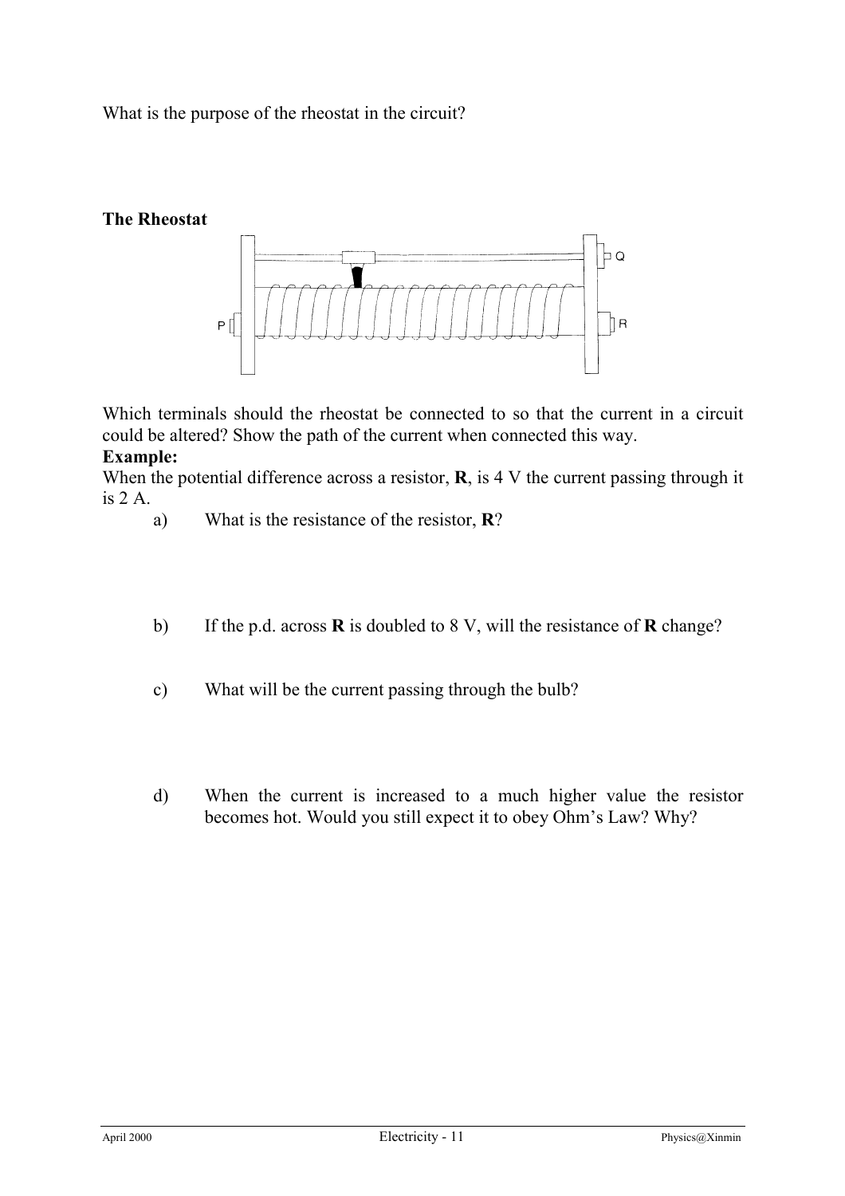What is the purpose of the rheostat in the circuit?

#### **The Rheostat**



Which terminals should the rheostat be connected to so that the current in a circuit could be altered? Show the path of the current when connected this way.

#### **Example:**

When the potential difference across a resistor, **R**, is 4 V the current passing through it is 2 A.

- a) What is the resistance of the resistor, **R**?
- b) If the p.d. across **R** is doubled to 8 V, will the resistance of **R** change?
- c) What will be the current passing through the bulb?
- d) When the current is increased to a much higher value the resistor becomes hot. Would you still expect it to obey Ohm's Law? Why?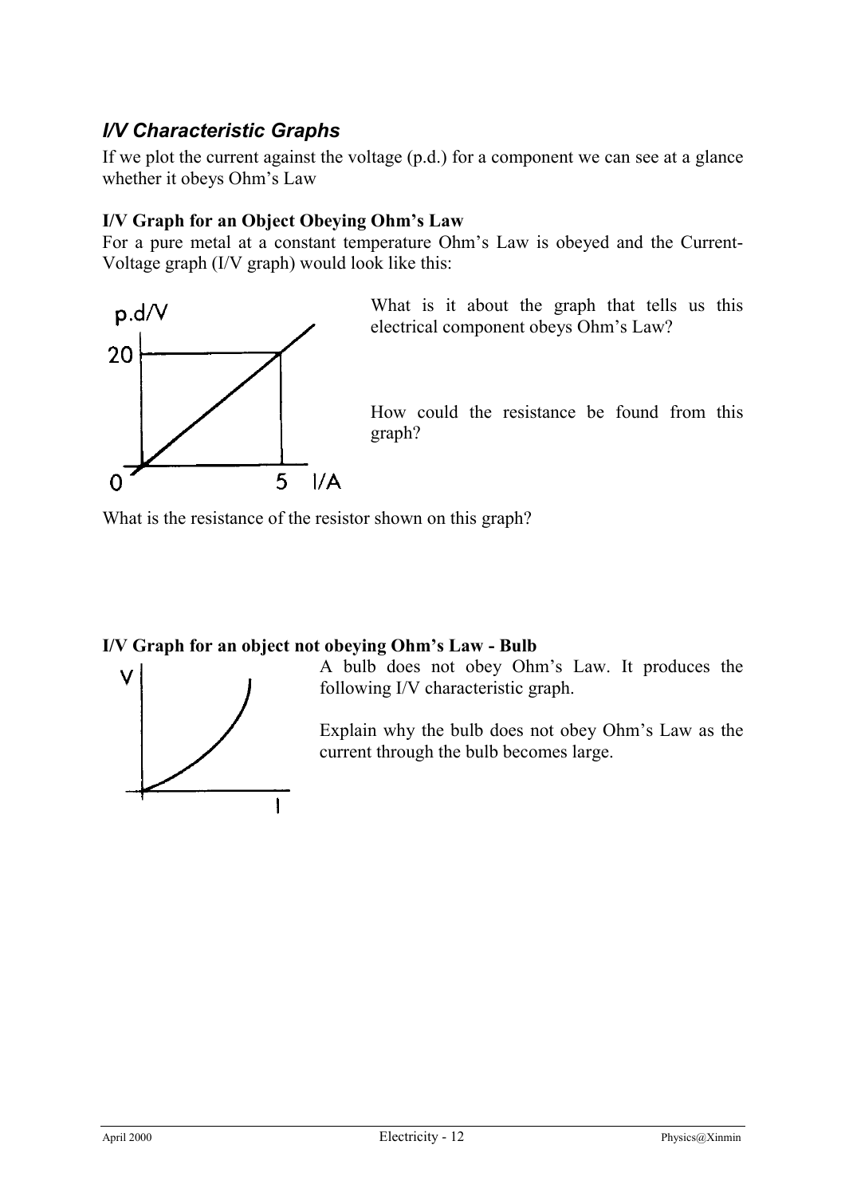## *I/V Characteristic Graphs*

If we plot the current against the voltage (p.d.) for a component we can see at a glance whether it obeys Ohm's Law

#### **I/V Graph for an Object Obeying Ohm's Law**

For a pure metal at a constant temperature Ohm's Law is obeyed and the Current-Voltage graph (I/V graph) would look like this:



What is it about the graph that tells us this electrical component obeys Ohm's Law?

How could the resistance be found from this graph?

What is the resistance of the resistor shown on this graph?

#### **I/V Graph for an object not obeying Ohm's Law - Bulb**



A bulb does not obey Ohm's Law. It produces the following I/V characteristic graph.

Explain why the bulb does not obey Ohm's Law as the current through the bulb becomes large.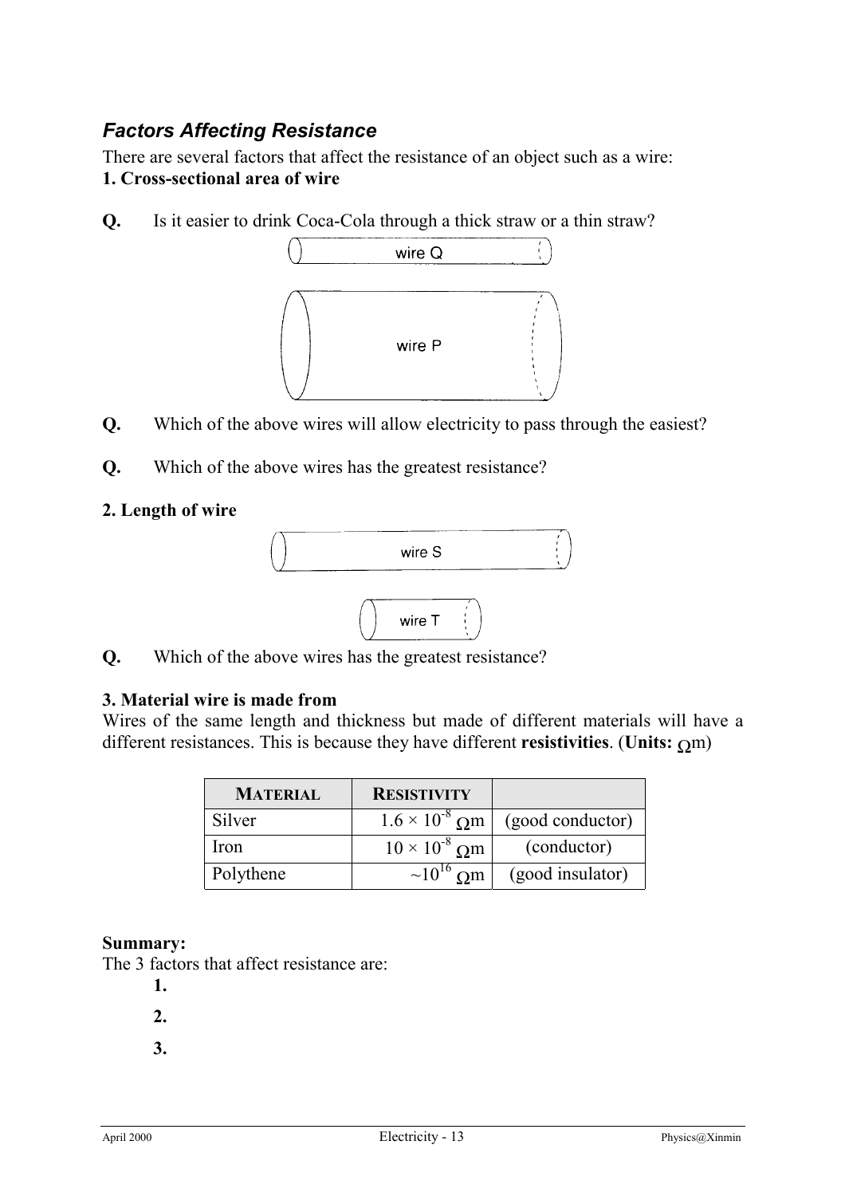## *Factors Affecting Resistance*

There are several factors that affect the resistance of an object such as a wire: **1. Cross-sectional area of wire**

**Q.** Is it easier to drink Coca-Cola through a thick straw or a thin straw?



- **Q.** Which of the above wires will allow electricity to pass through the easiest?
- **Q.** Which of the above wires has the greatest resistance?

#### **2. Length of wire**



**Q.** Which of the above wires has the greatest resistance?

#### **3. Material wire is made from**

Wires of the same length and thickness but made of different materials will have a different resistances. This is because they have different **resistivities**. (**Units:** Ωm)

| <b>MATERIAL</b> | <b>RESISTIVITY</b>      |                  |
|-----------------|-------------------------|------------------|
| Silver          | $1.6 \times 10^{-8}$ Om | (good conductor) |
| Iron            | $10 \times 10^{-8}$ Om  | (conductor)      |
| Polythene       | $\sim 10^{16}$ Om       | (good insulator) |

#### **Summary:**

The 3 factors that affect resistance are:

- **1.**
- **2.**
- **3.**
-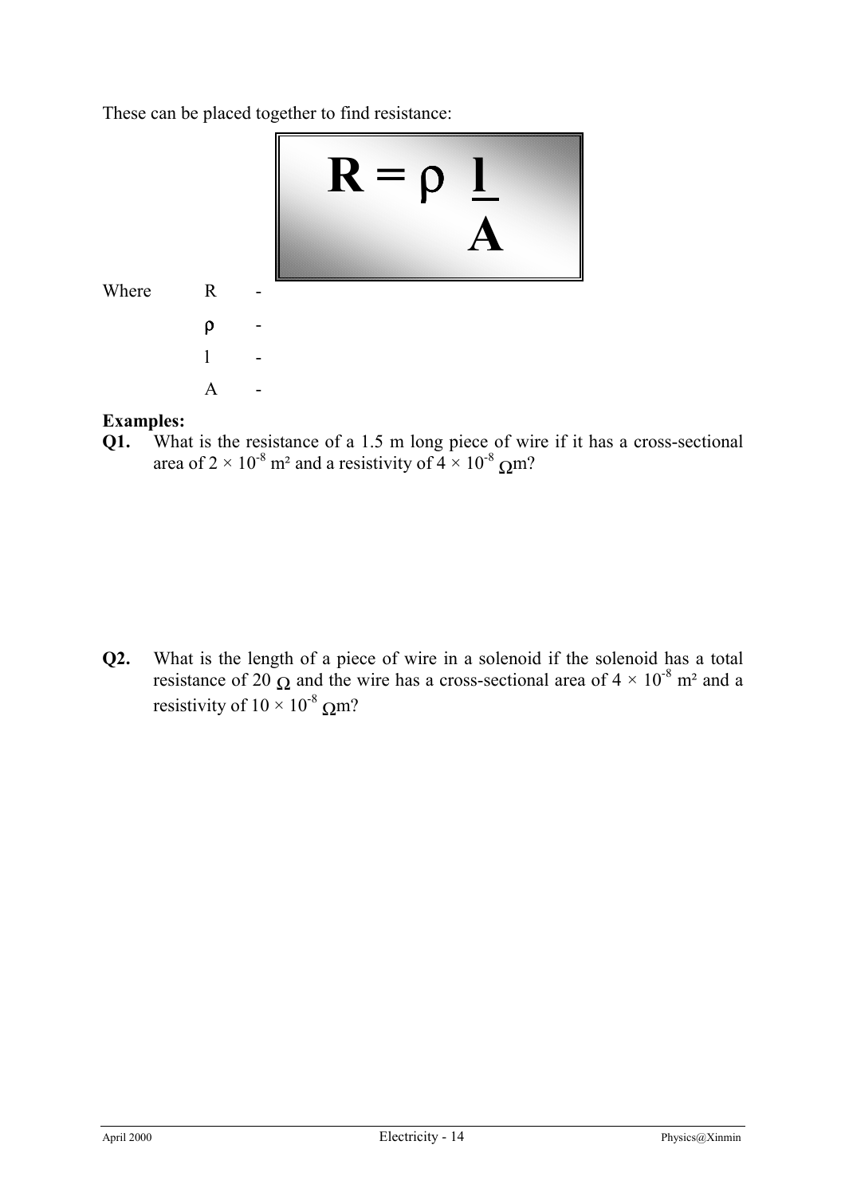These can be placed together to find resistance:



#### **Examples:**

**Q1.** What is the resistance of a 1.5 m long piece of wire if it has a cross-sectional area of 2  $\times$  10<sup>-8</sup> m<sup>2</sup> and a resistivity of 4  $\times$  10<sup>-8</sup> Qm?

**Q2.** What is the length of a piece of wire in a solenoid if the solenoid has a total resistance of 20  $\Omega$  and the wire has a cross-sectional area of  $4 \times 10^{-8}$  m<sup>2</sup> and a resistivity of  $10 \times 10^{-8}$  Qm?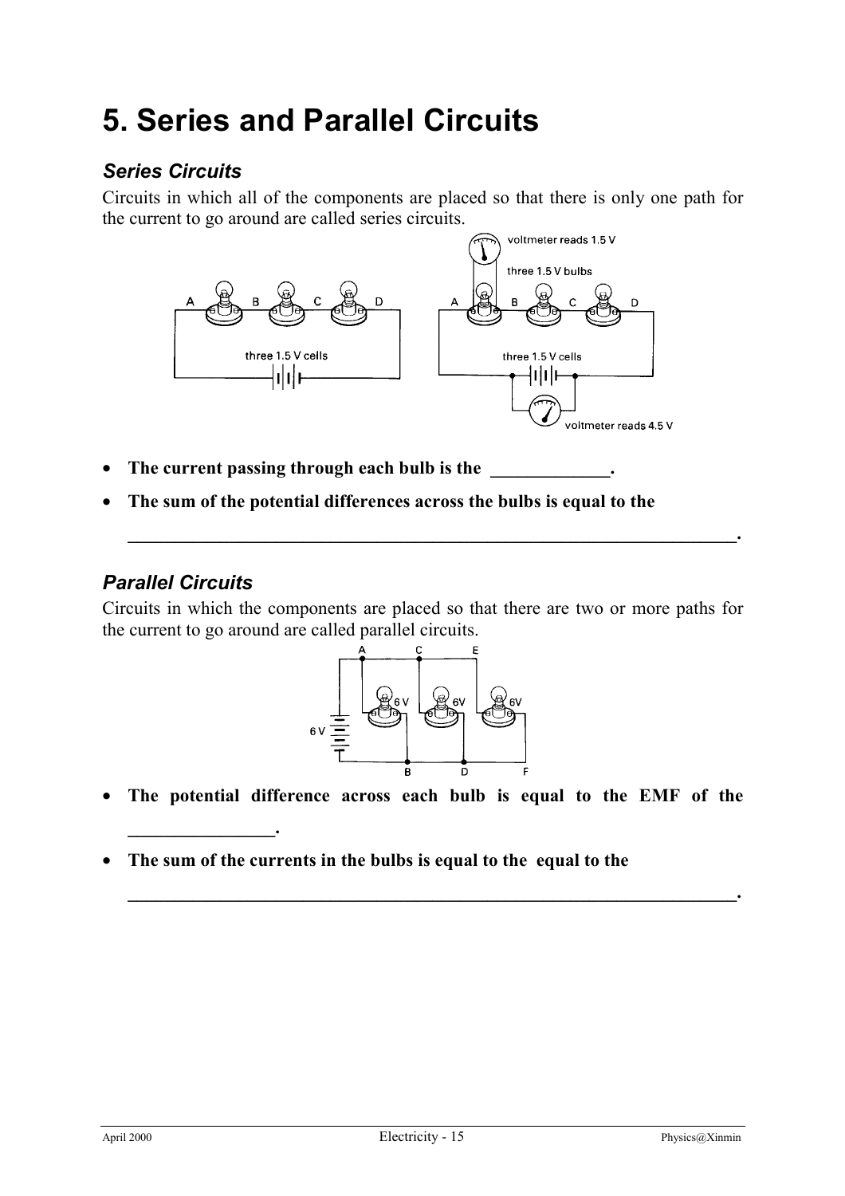# **5. Series and Parallel Circuits**

## *Series Circuits*

Circuits in which all of the components are placed so that there is only one path for the current to go around are called series circuits.



- The current passing through each bulb is the
- **The sum of the potential differences across the bulbs is equal to the**

## *Parallel Circuits*

**\_\_\_\_\_\_\_\_\_\_\_\_\_\_\_\_.**

Circuits in which the components are placed so that there are two or more paths for the current to go around are called parallel circuits.

**\_\_\_\_\_\_\_\_\_\_\_\_\_\_\_\_\_\_\_\_\_\_\_\_\_\_\_\_\_\_\_\_\_\_\_\_\_\_\_\_\_\_\_\_\_\_\_\_\_\_\_\_\_\_\_\_\_\_\_\_\_\_\_\_\_\_.**



• **The potential difference across each bulb is equal to the EMF of the**

**\_\_\_\_\_\_\_\_\_\_\_\_\_\_\_\_\_\_\_\_\_\_\_\_\_\_\_\_\_\_\_\_\_\_\_\_\_\_\_\_\_\_\_\_\_\_\_\_\_\_\_\_\_\_\_\_\_\_\_\_\_\_\_\_\_\_.**

• **The sum of the currents in the bulbs is equal to the equal to the**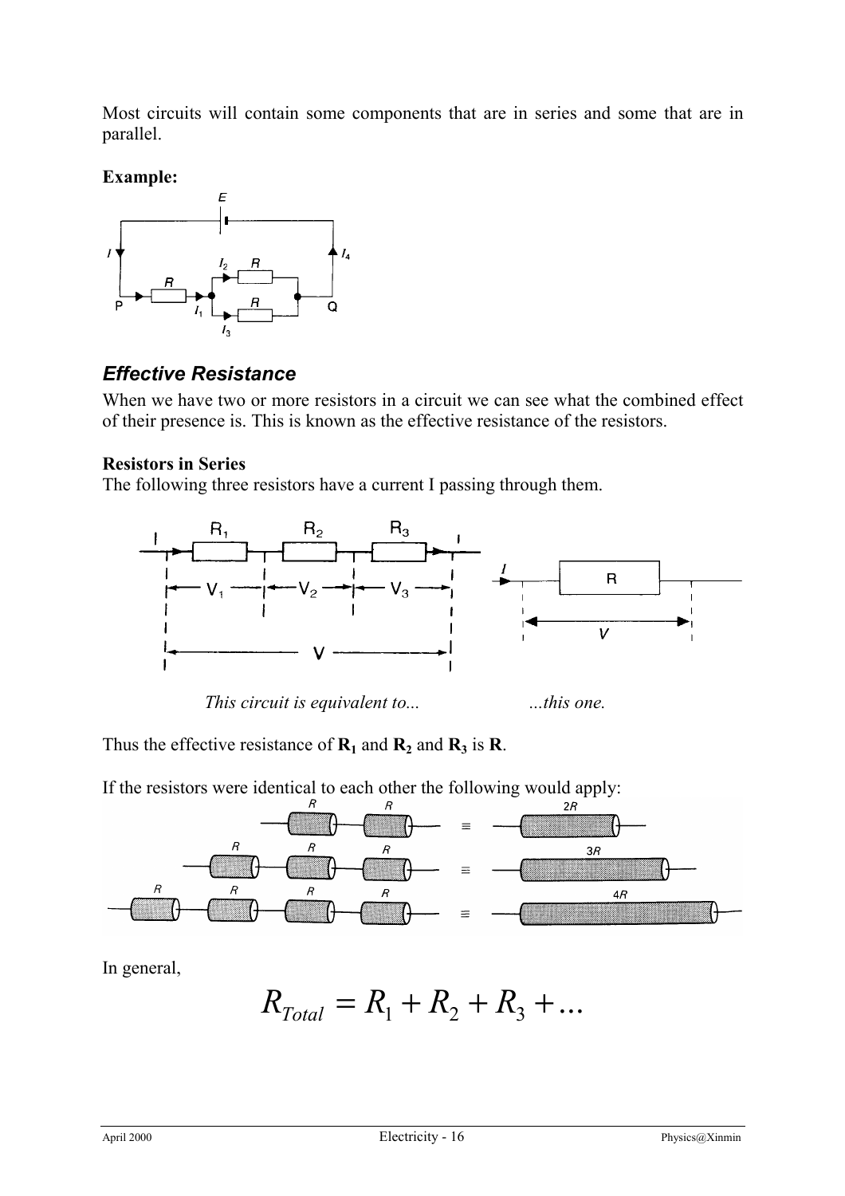Most circuits will contain some components that are in series and some that are in parallel.

**Example:**



### *Effective Resistance*

When we have two or more resistors in a circuit we can see what the combined effect of their presence is. This is known as the effective resistance of the resistors.

#### **Resistors in Series**

The following three resistors have a current I passing through them.



*This circuit is equivalent to...* ...*this one.* 

Thus the effective resistance of  $\mathbf{R}_1$  and  $\mathbf{R}_2$  and  $\mathbf{R}_3$  is  $\mathbf{R}$ .

If the resistors were identical to each other the following would apply:



In general,

 $R_{Total} = R_1 + R_2 + R_3 + ...$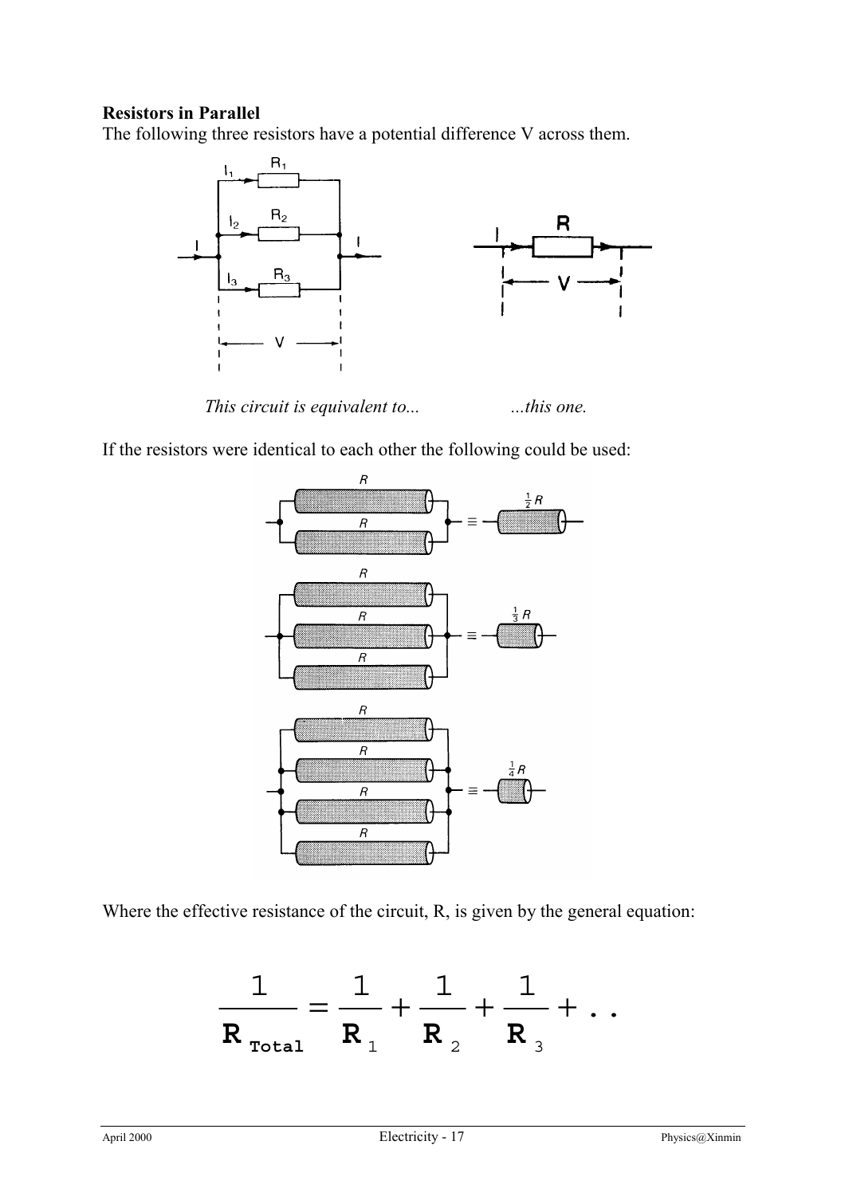#### **Resistors in Parallel**

The following three resistors have a potential difference V across them.



*This circuit is equivalent to...* ...*this one.* 

If the resistors were identical to each other the following could be used:



Where the effective resistance of the circuit, R, is given by the general equation:

$$
\frac{1}{R_{\text{Total}}} = \frac{1}{R_1} + \frac{1}{R_2} + \frac{1}{R_3} + \dots
$$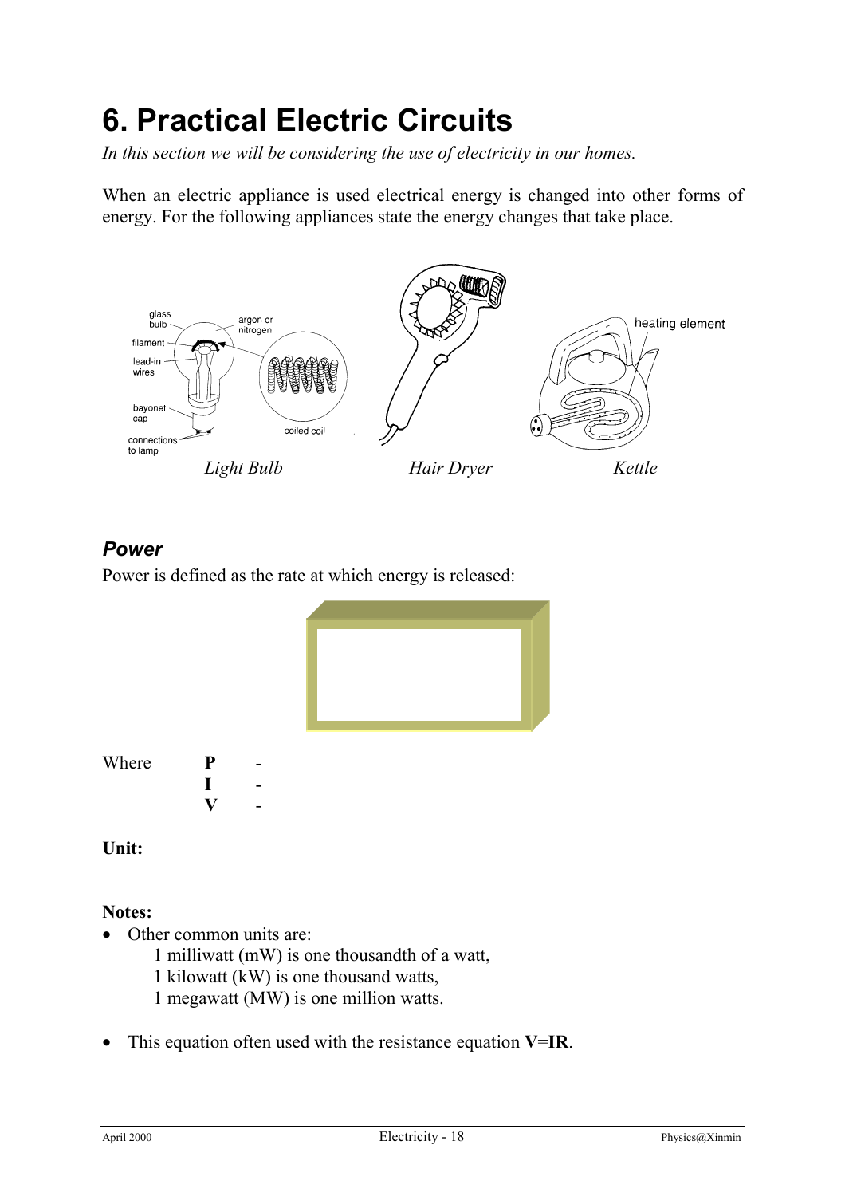# **6. Practical Electric Circuits**

*In this section we will be considering the use of electricity in our homes.*

When an electric appliance is used electrical energy is changed into other forms of energy. For the following appliances state the energy changes that take place.



### *Power*

Power is defined as the rate at which energy is released:



**Unit:**

#### **Notes:**

- Other common units are:
	- 1 milliwatt (mW) is one thousandth of a watt,
	- 1 kilowatt (kW) is one thousand watts,
	- 1 megawatt (MW) is one million watts.
- This equation often used with the resistance equation **V**=**IR**.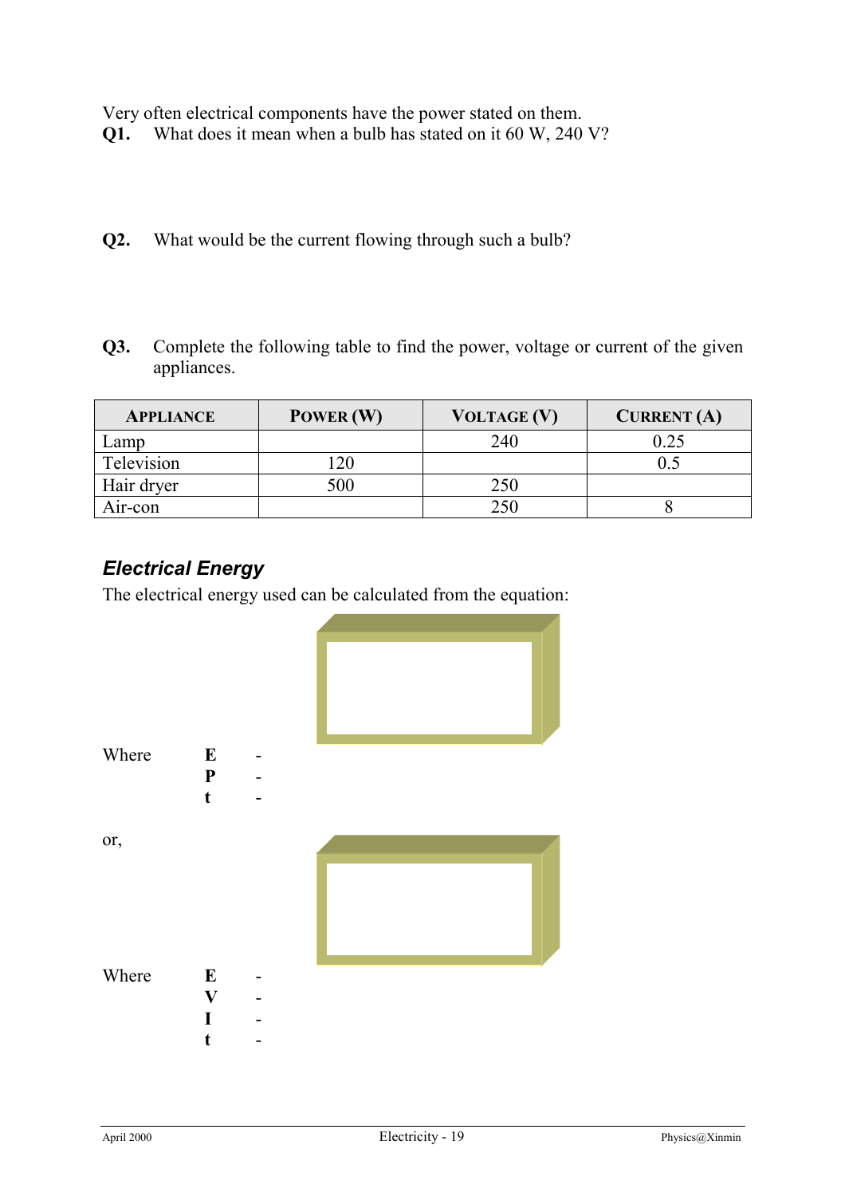Very often electrical components have the power stated on them.

- **Q1.** What does it mean when a bulb has stated on it 60 W, 240 V?
- **Q2.** What would be the current flowing through such a bulb?
- **Q3.** Complete the following table to find the power, voltage or current of the given appliances.

| <b>APPLIANCE</b> | POWER (W) | VOLTAGE (V) | <b>CURRENT</b> (A) |
|------------------|-----------|-------------|--------------------|
| Lamp             |           | 240         | 0.25               |
| Television       | 20        |             |                    |
| Hair dryer       | 500       | 250         |                    |
| Air-con          |           | 250         |                    |

## *Electrical Energy*

The electrical energy used can be calculated from the equation:

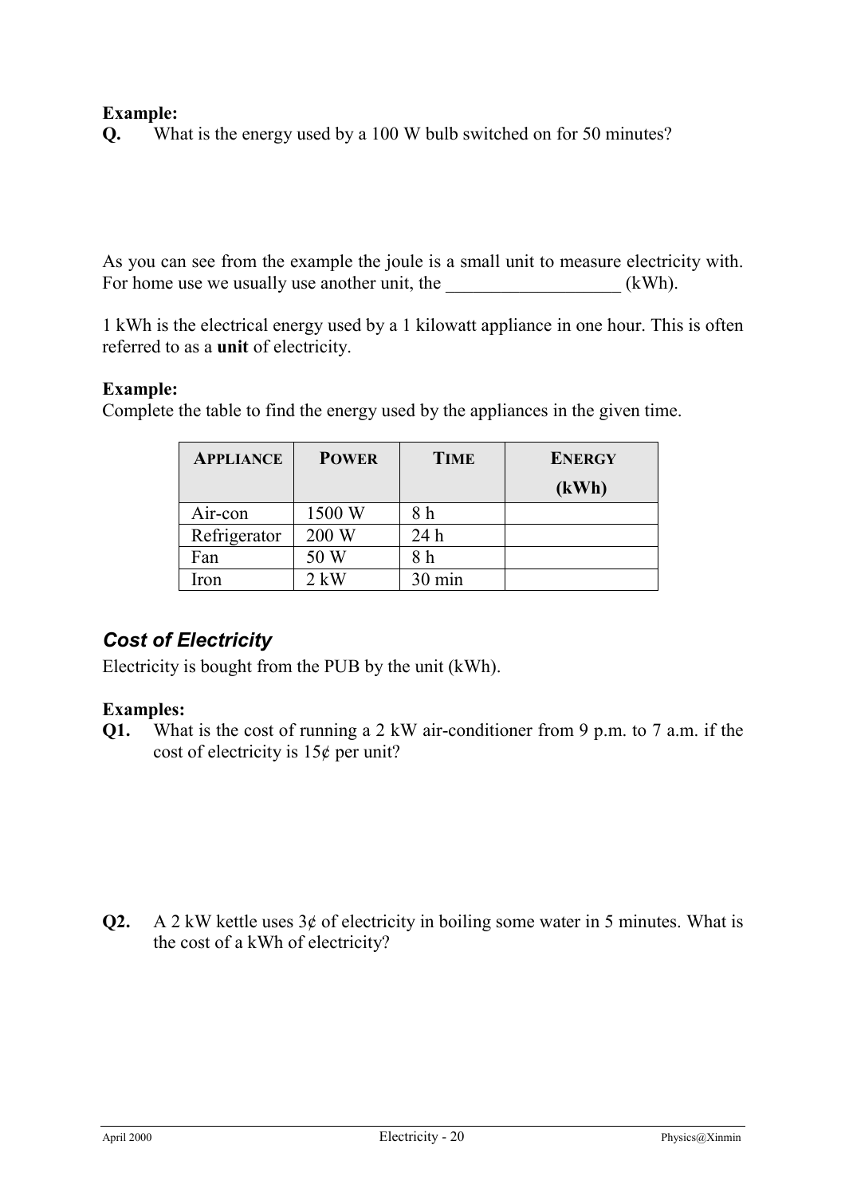#### **Example:**

**Q.** What is the energy used by a 100 W bulb switched on for 50 minutes?

As you can see from the example the joule is a small unit to measure electricity with. For home use we usually use another unit, the  $(kWh)$ .

1 kWh is the electrical energy used by a 1 kilowatt appliance in one hour. This is often referred to as a **unit** of electricity.

#### **Example:**

| <b>APPLIANCE</b> | <b>POWER</b> | <b>TIME</b> | <b>ENERGY</b> |
|------------------|--------------|-------------|---------------|
|                  |              |             | (kWh)         |
| Air-con          | 1500 W       | 8 h         |               |
| Refrigerator     | 200 W        | 24h         |               |
| Fan              | 50 W         | 8 h         |               |
| Iron             | $2$ kW       | 30 min      |               |

Complete the table to find the energy used by the appliances in the given time.

## *Cost of Electricity*

Electricity is bought from the PUB by the unit (kWh).

#### **Examples:**

**Q1.** What is the cost of running a 2 kW air-conditioner from 9 p.m. to 7 a.m. if the cost of electricity is  $15¢$  per unit?

**Q2.** A 2 kW kettle uses  $3¢$  of electricity in boiling some water in 5 minutes. What is the cost of a kWh of electricity?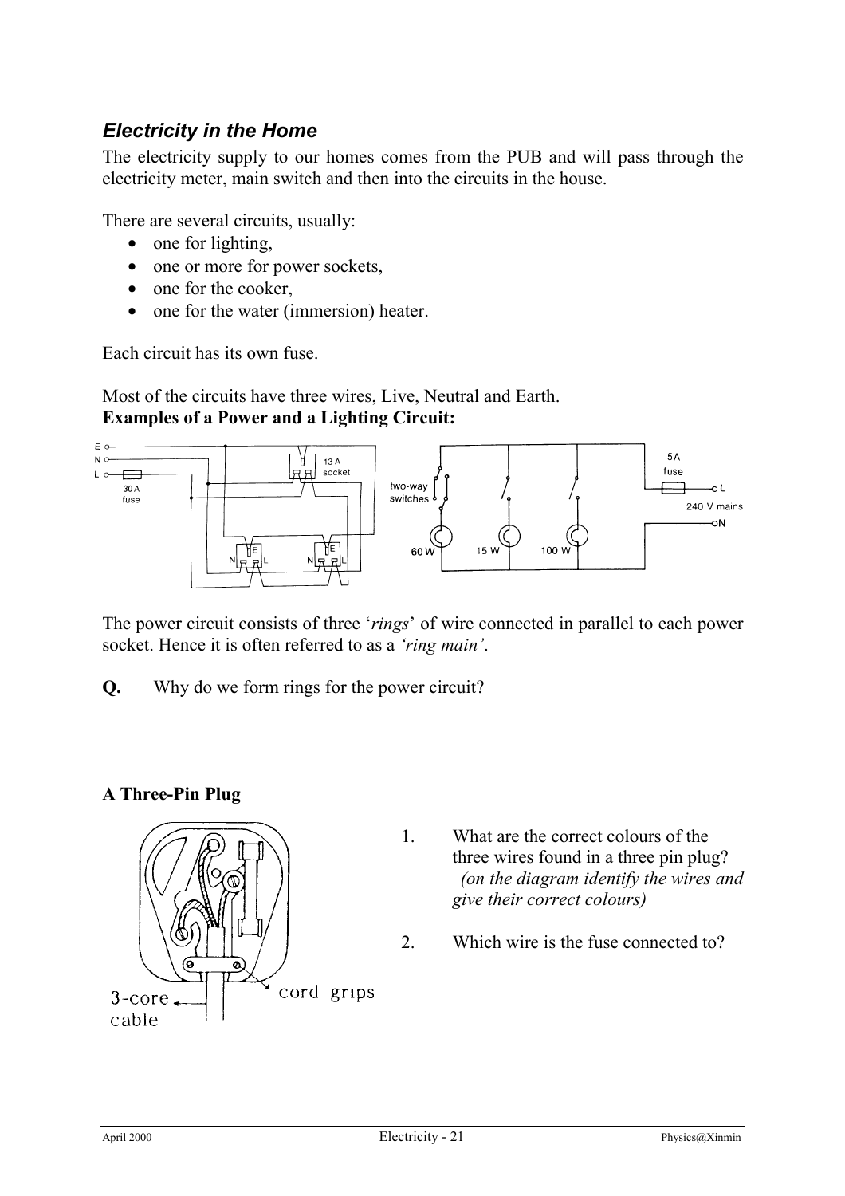## *Electricity in the Home*

The electricity supply to our homes comes from the PUB and will pass through the electricity meter, main switch and then into the circuits in the house.

There are several circuits, usually:

- one for lighting.
- one or more for power sockets,
- one for the cooker,
- one for the water (immersion) heater.

Each circuit has its own fuse.

Most of the circuits have three wires, Live, Neutral and Earth. **Examples of a Power and a Lighting Circuit:**



The power circuit consists of three '*rings*' of wire connected in parallel to each power socket. Hence it is often referred to as a *'ring main'*.

**Q.** Why do we form rings for the power circuit?

#### **A Three-Pin Plug**



- 1. What are the correct colours of the three wires found in a three pin plug? *(on the diagram identify the wires and give their correct colours)*
- 2. Which wire is the fuse connected to?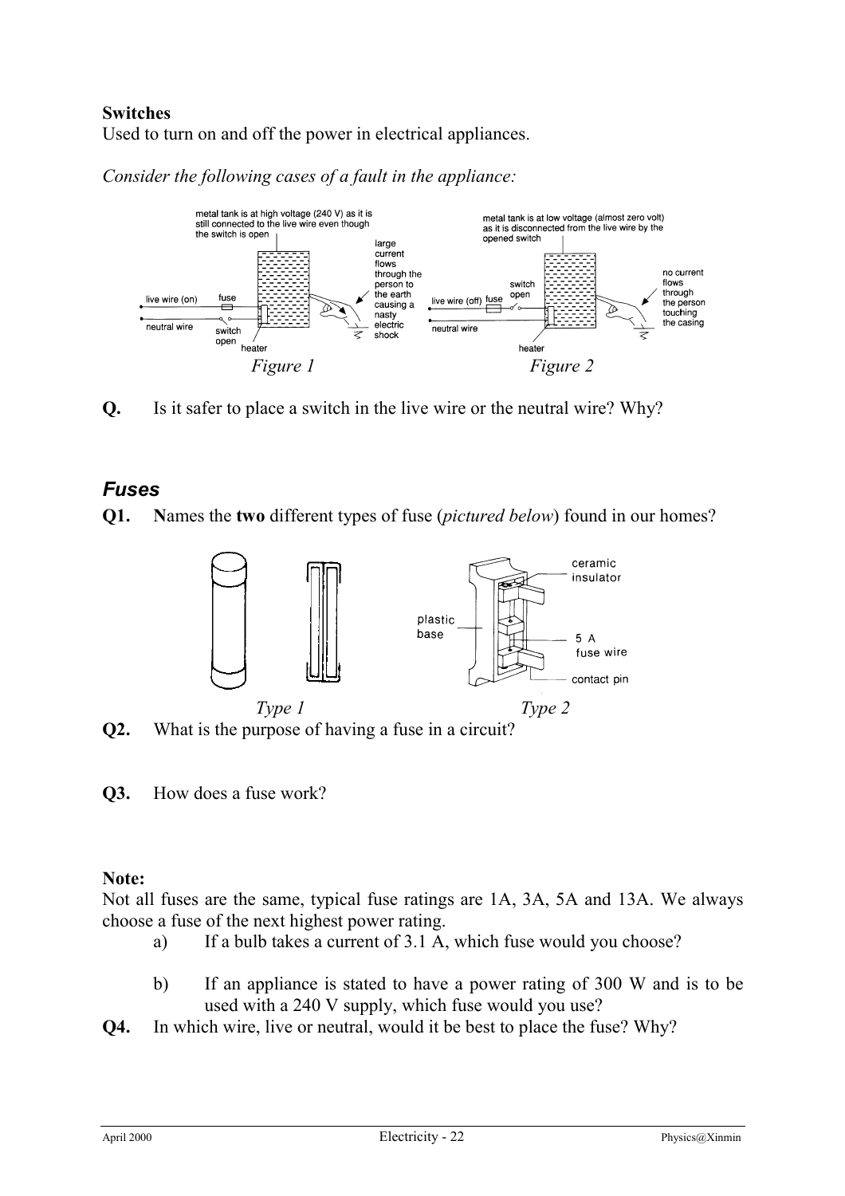#### **Switches**

Used to turn on and off the power in electrical appliances.

*Consider the following cases of a fault in the appliance:*



**Q.** Is it safer to place a switch in the live wire or the neutral wire? Why?

## *Fuses*

**Q1. N**ames the **two** different types of fuse (*pictured below*) found in our homes?



**Q2.** What is the purpose of having a fuse in a circuit?

**Q3.** How does a fuse work?

#### **Note:**

Not all fuses are the same, typical fuse ratings are 1A, 3A, 5A and 13A. We always choose a fuse of the next highest power rating.

- a) If a bulb takes a current of 3.1 A, which fuse would you choose?
- b) If an appliance is stated to have a power rating of 300 W and is to be used with a 240 V supply, which fuse would you use?
- **Q4.** In which wire, live or neutral, would it be best to place the fuse? Why?